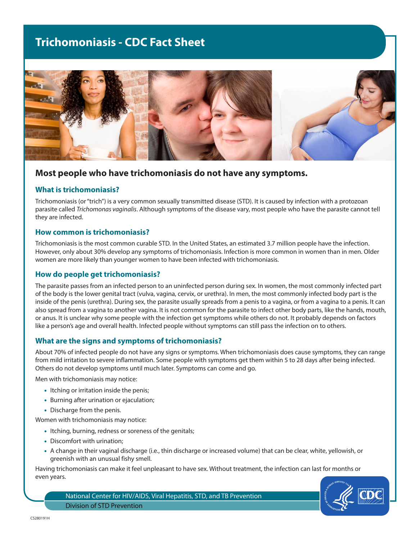# **Trichomoniasis - CDC Fact Sheet**



# **Most people who have trichomoniasis do not have any symptoms.**

# **What is trichomoniasis?**

Trichomoniasis (or "trich") is a very common sexually transmitted disease (STD). It is caused by infection with a protozoan parasite called *Trichomonas vaginalis*. Although symptoms of the disease vary, most people who have the parasite cannot tell they are infected.

#### **How common is trichomoniasis?**

Trichomoniasis is the most common curable STD. In the United States, an estimated 3.7 million people have the infection. However, only about 30% develop any symptoms of trichomoniasis. Infection is more common in women than in men. Older women are more likely than younger women to have been infected with trichomoniasis.

# **How do people get trichomoniasis?**

The parasite passes from an infected person to an uninfected person during sex. In women, the most commonly infected part of the body is the lower genital tract (vulva, vagina, cervix, or urethra). In men, the most commonly infected body part is the inside of the penis (urethra). During sex, the parasite usually spreads from a penis to a vagina, or from a vagina to a penis. It can also spread from a vagina to another vagina. It is not common for the parasite to infect other body parts, like the hands, mouth, or anus. It is unclear why some people with the infection get symptoms while others do not. It probably depends on factors like a person's age and overall health. Infected people without symptoms can still pass the infection on to others.

# **What are the signs and symptoms of trichomoniasis?**

About 70% of infected people do not have any signs or symptoms. When trichomoniasis does cause symptoms, they can range from mild irritation to severe inflammation. Some people with symptoms get them within 5 to 28 days after being infected. Others do not develop symptoms until much later. Symptoms can come and go.

Men with trichomoniasis may notice:

- Itching or irritation inside the penis;
- Burning after urination or ejaculation;
- Discharge from the penis.

Women with trichomoniasis may notice:

- Itching, burning, redness or soreness of the genitals;
- Discomfort with urination;
- A change in their vaginal discharge (i.e., thin discharge or increased volume) that can be clear, white, yellowish, or greenish with an unusual fishy smell.

Having trichomoniasis can make it feel unpleasant to have sex. Without treatment, the infection can last for months or even years.



National Center for HIV/AIDS, Viral Hepatitis, STD, and TB Prevention Division of STD Prevention